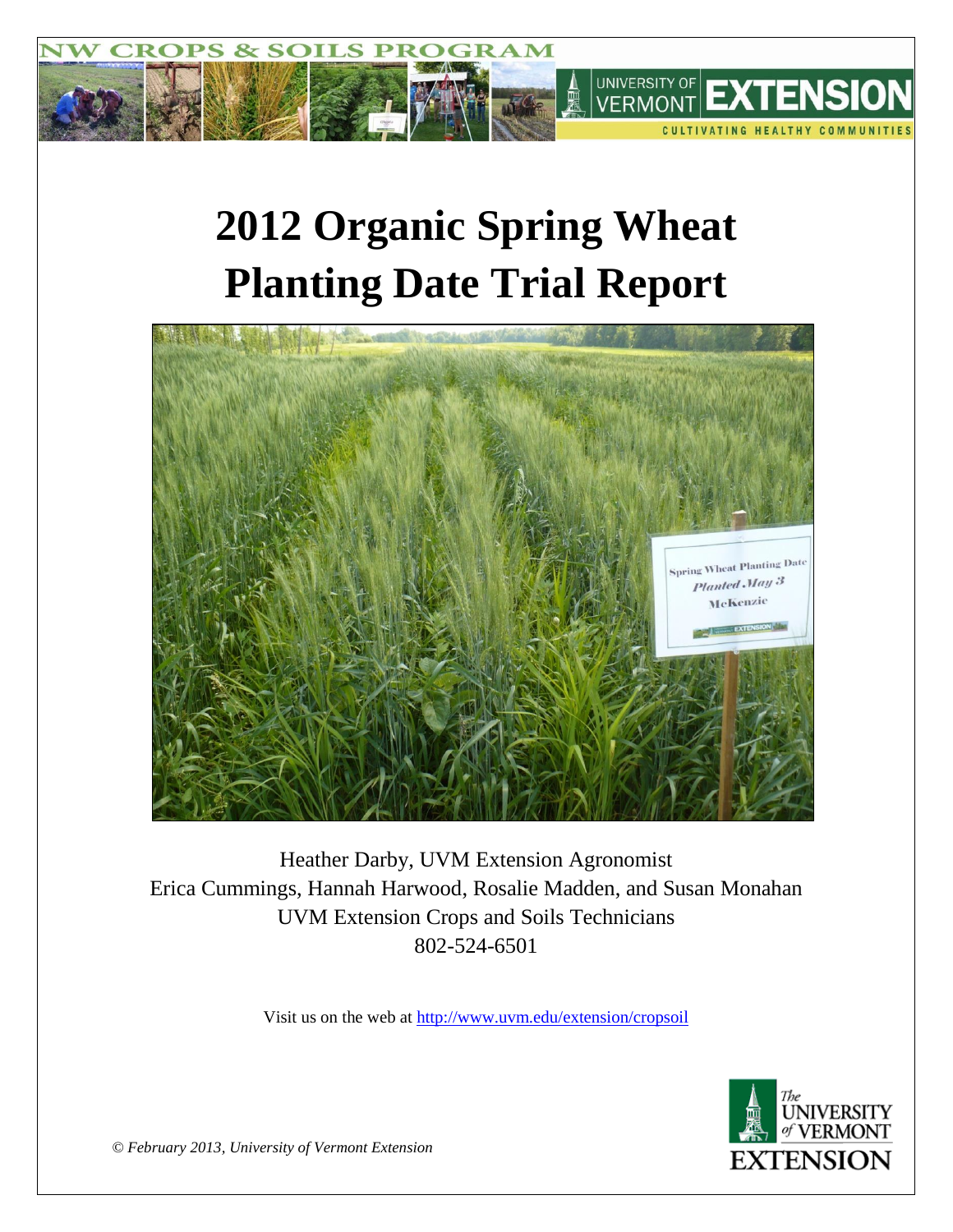

# **2012 Organic Spring Wheat Planting Date Trial Report**



Heather Darby, UVM Extension Agronomist Erica Cummings, Hannah Harwood, Rosalie Madden, and Susan Monahan UVM Extension Crops and Soils Technicians 802-524-6501

Visit us on the web at<http://www.uvm.edu/extension/cropsoil>



*© February 2013, University of Vermont Extension*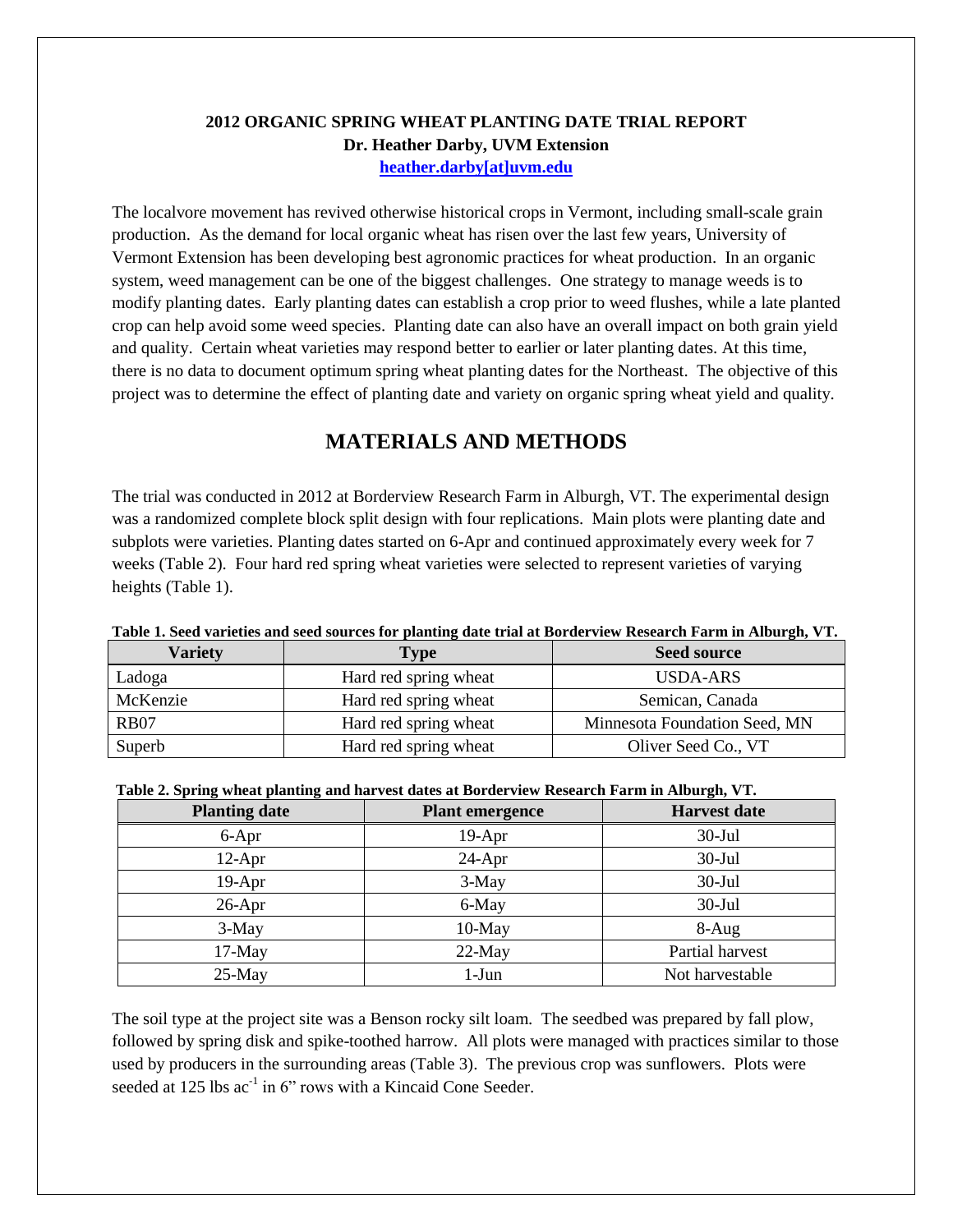### **2012 ORGANIC SPRING WHEAT PLANTING DATE TRIAL REPORT Dr. Heather Darby, UVM Extension [heather.darby\[at\]uvm.edu](mailto:hdarby@uvm.edu?subject=2011%20Spring%20Wheat%20Planting%20Date)**

The localvore movement has revived otherwise historical crops in Vermont, including small-scale grain production. As the demand for local organic wheat has risen over the last few years, University of Vermont Extension has been developing best agronomic practices for wheat production. In an organic system, weed management can be one of the biggest challenges. One strategy to manage weeds is to modify planting dates. Early planting dates can establish a crop prior to weed flushes, while a late planted crop can help avoid some weed species. Planting date can also have an overall impact on both grain yield and quality. Certain wheat varieties may respond better to earlier or later planting dates. At this time, there is no data to document optimum spring wheat planting dates for the Northeast. The objective of this project was to determine the effect of planting date and variety on organic spring wheat yield and quality.

## **MATERIALS AND METHODS**

The trial was conducted in 2012 at Borderview Research Farm in Alburgh, VT. The experimental design was a randomized complete block split design with four replications. Main plots were planting date and subplots were varieties. Planting dates started on 6-Apr and continued approximately every week for 7 weeks (Table 2). Four hard red spring wheat varieties were selected to represent varieties of varying heights (Table 1).

| Table 1. Deeg varieties and seed sources for planting date trial at Dorucrylew Incstaren Farm in Alburgin V T. |                       |                               |  |  |  |  |
|----------------------------------------------------------------------------------------------------------------|-----------------------|-------------------------------|--|--|--|--|
| <b>Variety</b>                                                                                                 | <b>Type</b>           | <b>Seed source</b>            |  |  |  |  |
| Ladoga                                                                                                         | Hard red spring wheat | USDA-ARS                      |  |  |  |  |
| McKenzie                                                                                                       | Hard red spring wheat | Semican, Canada               |  |  |  |  |
| <b>RB07</b>                                                                                                    | Hard red spring wheat | Minnesota Foundation Seed, MN |  |  |  |  |
| Superb                                                                                                         | Hard red spring wheat | Oliver Seed Co., VT           |  |  |  |  |

|  | Table 1. Seed varieties and seed sources for planting date trial at Borderview Research Farm in Alburgh, VT. |  |
|--|--------------------------------------------------------------------------------------------------------------|--|
|--|--------------------------------------------------------------------------------------------------------------|--|

| Table 2. Spring wheat planting and harvest dates at Borderview Research Farm in Alburgh, VT. |                     |       |  |  |  |  |
|----------------------------------------------------------------------------------------------|---------------------|-------|--|--|--|--|
| <b>Planting date</b>                                                                         | <b>Harvest date</b> |       |  |  |  |  |
| $6 - Anr$                                                                                    | 19-A pr             | 30-Խ1 |  |  |  |  |

| <b>Planting date</b> | <b>Plant emergence</b> | <b>Harvest date</b> |
|----------------------|------------------------|---------------------|
| 6-Apr                | $19-Apr$               | $30$ -Jul           |
| $12-Apr$             | $24-Apr$               | $30$ -Jul           |
| $19-Apr$             | $3-May$                | $30$ -Jul           |
| $26$ -Apr            | 6-May                  | $30$ -Jul           |
| 3-May                | $10$ -May              | 8-Aug               |

The soil type at the project site was a Benson rocky silt loam. The seedbed was prepared by fall plow, followed by spring disk and spike-toothed harrow. All plots were managed with practices similar to those used by producers in the surrounding areas (Table 3). The previous crop was sunflowers. Plots were seeded at  $125$  lbs  $ac^{-1}$  in 6" rows with a Kincaid Cone Seeder.

17-May 22-May Partial harvest 25-May 1-Jun 1-Jun Not harvestable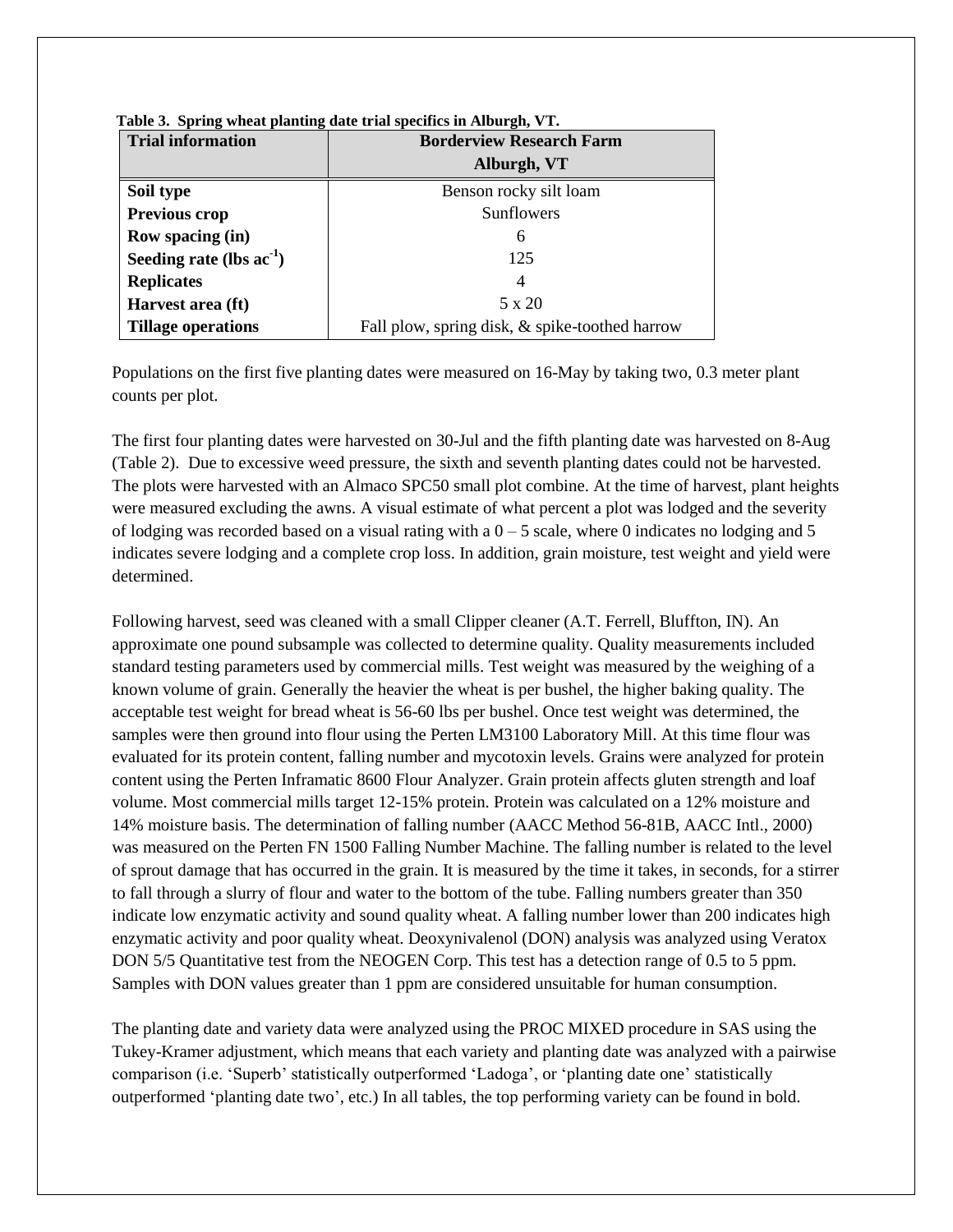| <b>Trial information</b>      | <b>Borderview Research Farm</b>                |  |  |  |
|-------------------------------|------------------------------------------------|--|--|--|
|                               | Alburgh, VT                                    |  |  |  |
| Soil type                     | Benson rocky silt loam                         |  |  |  |
| <b>Previous crop</b>          | <b>Sunflowers</b>                              |  |  |  |
| Row spacing (in)              | 6                                              |  |  |  |
| Seeding rate (lbs $ac^{-1}$ ) | 125                                            |  |  |  |
| <b>Replicates</b>             | 4                                              |  |  |  |
| Harvest area (ft)             | 5 x 20                                         |  |  |  |
| <b>Tillage operations</b>     | Fall plow, spring disk, & spike-toothed harrow |  |  |  |

**Table 3. Spring wheat planting date trial specifics in Alburgh, VT.**

Populations on the first five planting dates were measured on 16-May by taking two, 0.3 meter plant counts per plot.

The first four planting dates were harvested on 30-Jul and the fifth planting date was harvested on 8-Aug (Table 2). Due to excessive weed pressure, the sixth and seventh planting dates could not be harvested. The plots were harvested with an Almaco SPC50 small plot combine. At the time of harvest, plant heights were measured excluding the awns. A visual estimate of what percent a plot was lodged and the severity of lodging was recorded based on a visual rating with a  $0 - 5$  scale, where 0 indicates no lodging and 5 indicates severe lodging and a complete crop loss. In addition, grain moisture, test weight and yield were determined.

Following harvest, seed was cleaned with a small Clipper cleaner (A.T. Ferrell, Bluffton, IN). An approximate one pound subsample was collected to determine quality. Quality measurements included standard testing parameters used by commercial mills. Test weight was measured by the weighing of a known volume of grain. Generally the heavier the wheat is per bushel, the higher baking quality. The acceptable test weight for bread wheat is 56-60 lbs per bushel. Once test weight was determined, the samples were then ground into flour using the Perten LM3100 Laboratory Mill. At this time flour was evaluated for its protein content, falling number and mycotoxin levels. Grains were analyzed for protein content using the Perten Inframatic 8600 Flour Analyzer. Grain protein affects gluten strength and loaf volume. Most commercial mills target 12-15% protein. Protein was calculated on a 12% moisture and 14% moisture basis. The determination of falling number (AACC Method 56-81B, AACC Intl., 2000) was measured on the Perten FN 1500 Falling Number Machine. The falling number is related to the level of sprout damage that has occurred in the grain. It is measured by the time it takes, in seconds, for a stirrer to fall through a slurry of flour and water to the bottom of the tube. Falling numbers greater than 350 indicate low enzymatic activity and sound quality wheat. A falling number lower than 200 indicates high enzymatic activity and poor quality wheat. Deoxynivalenol (DON) analysis was analyzed using Veratox DON 5/5 Quantitative test from the NEOGEN Corp. This test has a detection range of 0.5 to 5 ppm. Samples with DON values greater than 1 ppm are considered unsuitable for human consumption.

The planting date and variety data were analyzed using the PROC MIXED procedure in SAS using the Tukey-Kramer adjustment, which means that each variety and planting date was analyzed with a pairwise comparison (i.e. 'Superb' statistically outperformed 'Ladoga', or 'planting date one' statistically outperformed 'planting date two', etc.) In all tables, the top performing variety can be found in bold.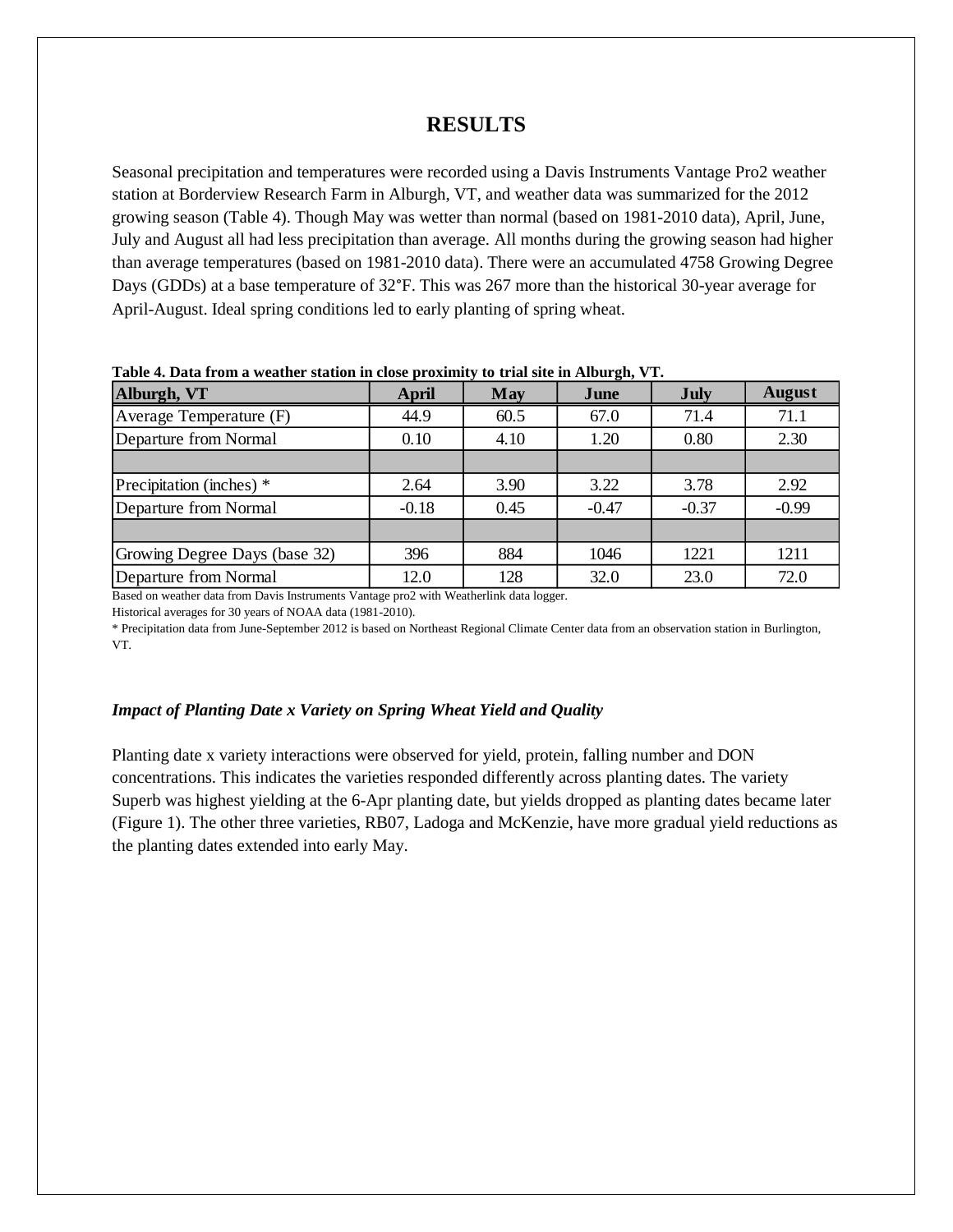## **RESULTS**

Seasonal precipitation and temperatures were recorded using a Davis Instruments Vantage Pro2 weather station at Borderview Research Farm in Alburgh, VT, and weather data was summarized for the 2012 growing season (Table 4). Though May was wetter than normal (based on 1981-2010 data), April, June, July and August all had less precipitation than average. All months during the growing season had higher than average temperatures (based on 1981-2010 data). There were an accumulated 4758 Growing Degree Days (GDDs) at a base temperature of 32°F. This was 267 more than the historical 30-year average for April-August. Ideal spring conditions led to early planting of spring wheat.

| Table 4. Data from a weather station in close proximity to trial site in Anourgh, y T. |         |      |         |             |               |  |
|----------------------------------------------------------------------------------------|---------|------|---------|-------------|---------------|--|
| Alburgh, VT                                                                            | April   | May  | June    | <b>July</b> | <b>August</b> |  |
| Average Temperature (F)                                                                | 44.9    | 60.5 | 67.0    | 71.4        | 71.1          |  |
| Departure from Normal                                                                  | 0.10    | 4.10 | 1.20    | 0.80        | 2.30          |  |
|                                                                                        |         |      |         |             |               |  |
| Precipitation (inches) *                                                               | 2.64    | 3.90 | 3.22    | 3.78        | 2.92          |  |
| Departure from Normal                                                                  | $-0.18$ | 0.45 | $-0.47$ | $-0.37$     | $-0.99$       |  |
|                                                                                        |         |      |         |             |               |  |
| Growing Degree Days (base 32)                                                          | 396     | 884  | 1046    | 1221        | 1211          |  |
| Departure from Normal                                                                  | 12.0    | 128  | 32.0    | 23.0        | 72.0          |  |

**Table 4. Data from a weather station in close proximity to trial site in Alburgh, VT.**

Based on weather data from Davis Instruments Vantage pro2 with Weatherlink data logger.

Historical averages for 30 years of NOAA data (1981-2010).

\* Precipitation data from June-September 2012 is based on Northeast Regional Climate Center data from an observation station in Burlington, VT.

#### *Impact of Planting Date x Variety on Spring Wheat Yield and Quality*

Planting date x variety interactions were observed for yield, protein, falling number and DON concentrations. This indicates the varieties responded differently across planting dates. The variety Superb was highest yielding at the 6-Apr planting date, but yields dropped as planting dates became later (Figure 1). The other three varieties, RB07, Ladoga and McKenzie, have more gradual yield reductions as the planting dates extended into early May.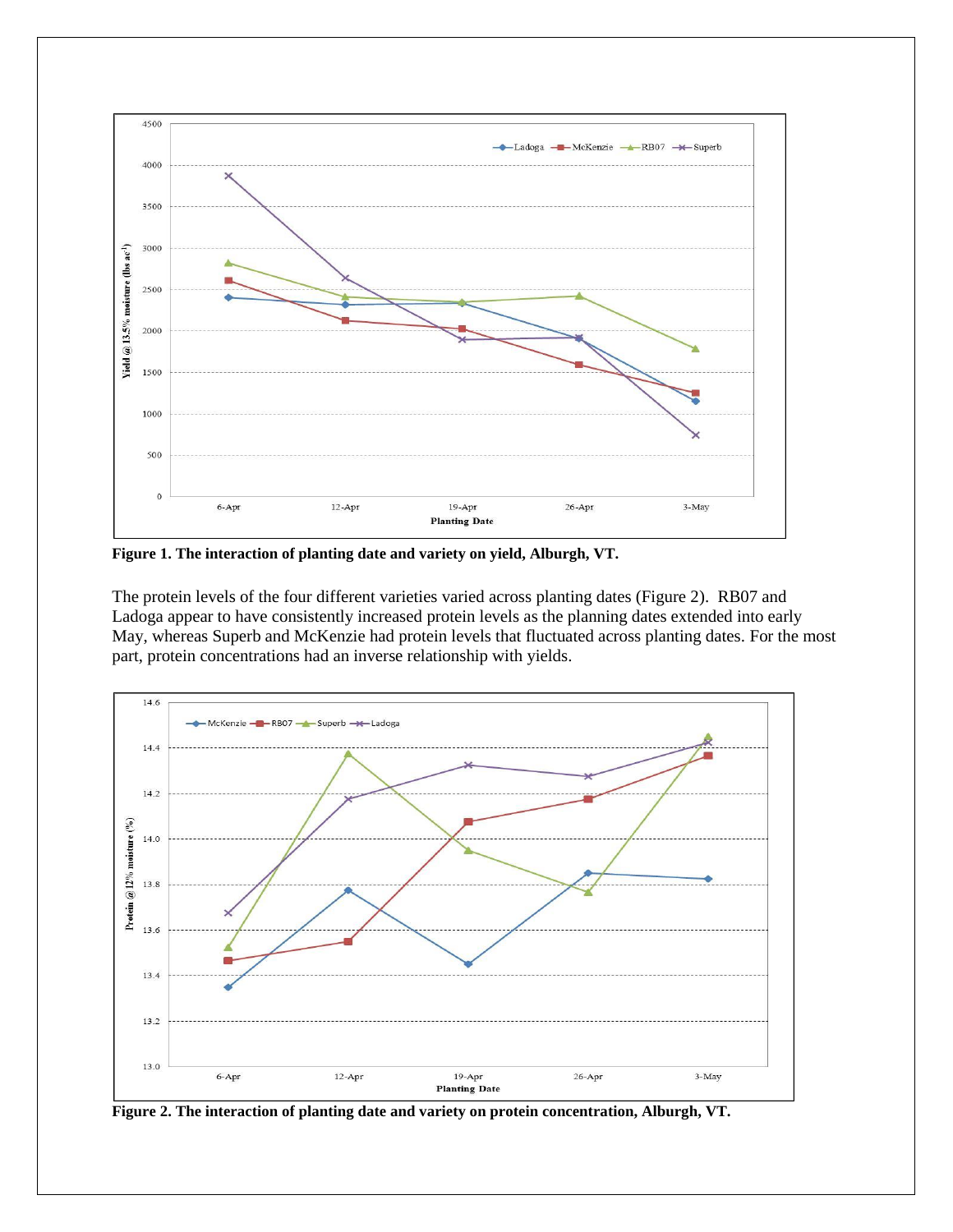

**Figure 1. The interaction of planting date and variety on yield, Alburgh, VT.**

The protein levels of the four different varieties varied across planting dates (Figure 2). RB07 and Ladoga appear to have consistently increased protein levels as the planning dates extended into early May, whereas Superb and McKenzie had protein levels that fluctuated across planting dates. For the most part, protein concentrations had an inverse relationship with yields.



**Figure 2. The interaction of planting date and variety on protein concentration, Alburgh, VT.**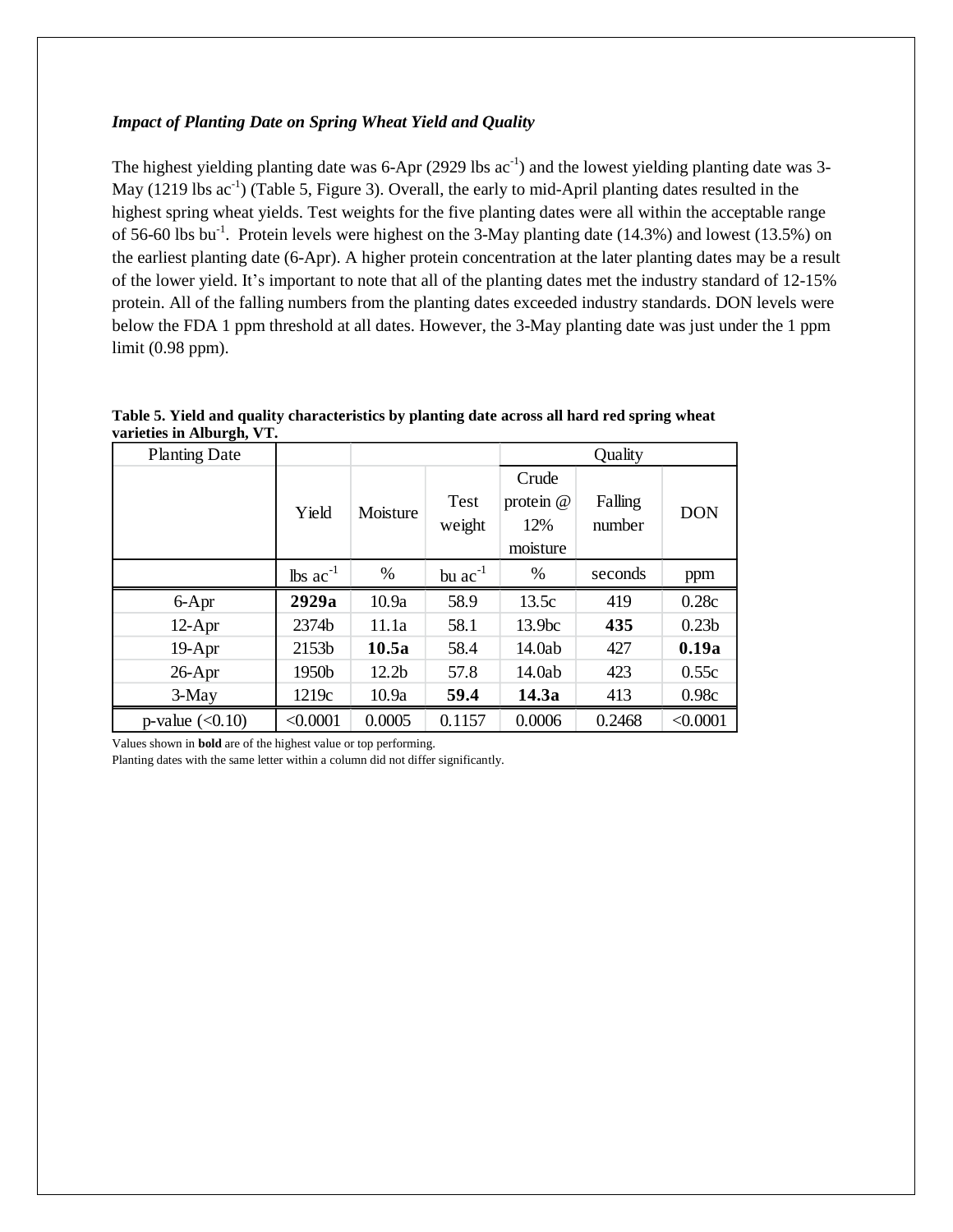#### *Impact of Planting Date on Spring Wheat Yield and Quality*

The highest yielding planting date was  $6$ -Apr (2929 lbs  $ac^{-1}$ ) and the lowest yielding planting date was 3-May  $(1219$  lbs  $ac^{-1}$ ) (Table 5, Figure 3). Overall, the early to mid-April planting dates resulted in the highest spring wheat yields. Test weights for the five planting dates were all within the acceptable range of 56-60 lbs bu<sup>-1</sup>. Protein levels were highest on the 3-May planting date (14.3%) and lowest (13.5%) on the earliest planting date (6-Apr). A higher protein concentration at the later planting dates may be a result of the lower yield. It's important to note that all of the planting dates met the industry standard of 12-15% protein. All of the falling numbers from the planting dates exceeded industry standards. DON levels were below the FDA 1 ppm threshold at all dates. However, the 3-May planting date was just under the 1 ppm limit (0.98 ppm).

|                           | Table 5. Yield and quality characteristics by planting date across all hard red spring wheat |  |
|---------------------------|----------------------------------------------------------------------------------------------|--|
| varieties in Alburgh, VT. |                                                                                              |  |

| <b>Planting Date</b> |                               |                   |                | Quality                                 |                   |                   |
|----------------------|-------------------------------|-------------------|----------------|-----------------------------------------|-------------------|-------------------|
|                      | Yield                         | Moisture          | Test<br>weight | Crude<br>protein $@$<br>12%<br>moisture | Falling<br>number | <b>DON</b>        |
|                      | $\text{lbs}$ ac <sup>-1</sup> | %                 | bu $ac^{-1}$   | %                                       | seconds           | ppm               |
| 6-Apr                | 2929a                         | 10.9a             | 58.9           | 13.5c                                   | 419               | 0.28c             |
| $12-Apr$             | 2374b                         | 11.1a             | 58.1           | 13.9bc                                  | 435               | 0.23 <sub>b</sub> |
| $19-Apr$             | 2153b                         | 10.5a             | 58.4           | 14.0ab                                  | 427               | 0.19a             |
| $26$ -Apr            | 1950b                         | 12.2 <sub>b</sub> | 57.8           | 14.0ab                                  | 423               | 0.55c             |
| 3-May                | 1219c                         | 10.9a             | 59.4           | 14.3a                                   | 413               | 0.98c             |
| p-value $(<0.10)$    | < 0.0001                      | 0.0005            | 0.1157         | 0.0006                                  | 0.2468            | < 0.0001          |

Values shown in **bold** are of the highest value or top performing.

Planting dates with the same letter within a column did not differ significantly.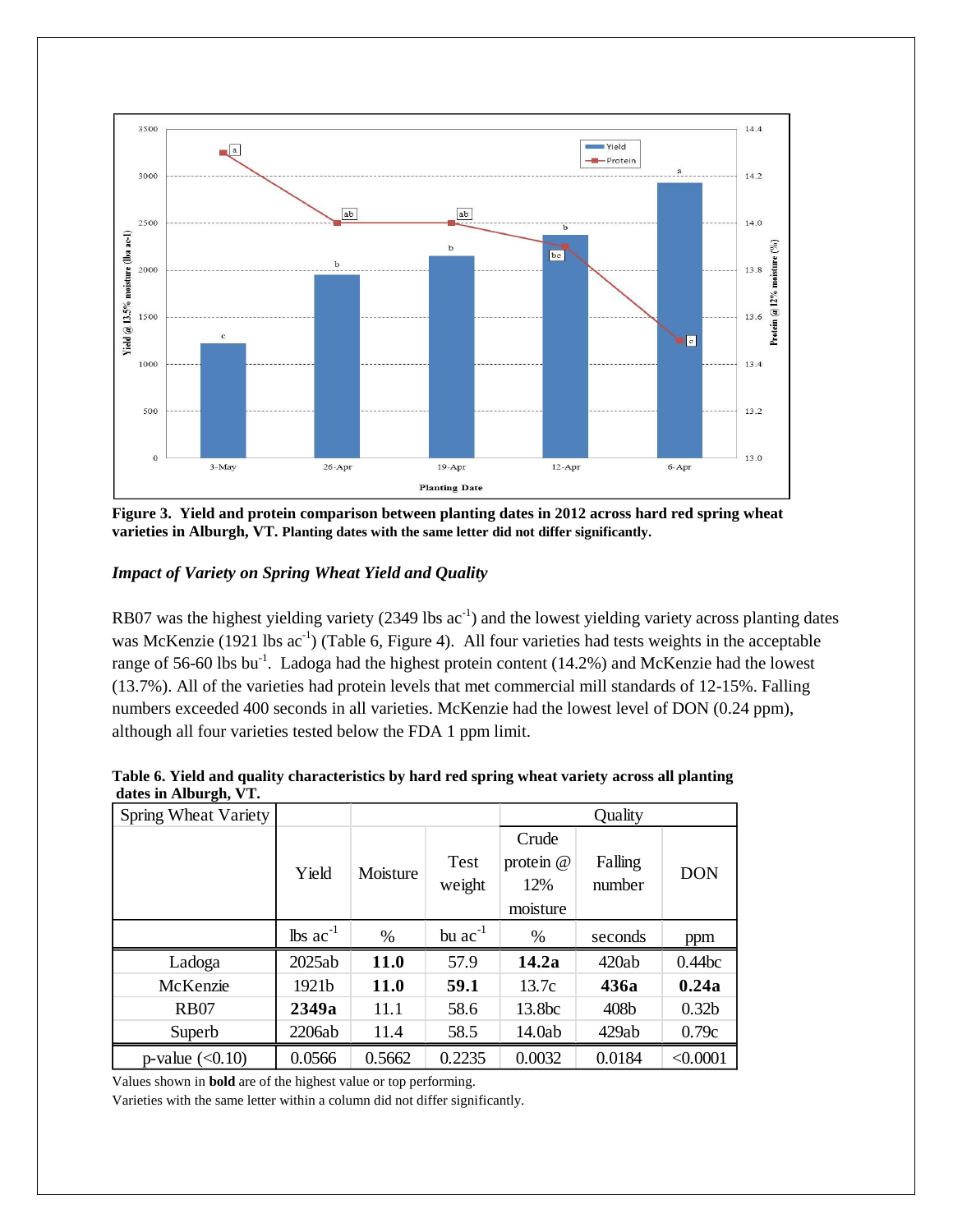

**Figure 3. Yield and protein comparison between planting dates in 2012 across hard red spring wheat varieties in Alburgh, VT. Planting dates with the same letter did not differ significantly.**

### *Impact of Variety on Spring Wheat Yield and Quality*

RB07 was the highest yielding variety  $(2349 \text{ lbs} \text{ ac}^{-1})$  and the lowest yielding variety across planting dates was McKenzie (1921 lbs  $ac^{-1}$ ) (Table 6, Figure 4). All four varieties had tests weights in the acceptable range of 56-60 lbs bu<sup>-1</sup>. Ladoga had the highest protein content (14.2%) and McKenzie had the lowest (13.7%). All of the varieties had protein levels that met commercial mill standards of 12-15%. Falling numbers exceeded 400 seconds in all varieties. McKenzie had the lowest level of DON (0.24 ppm), although all four varieties tested below the FDA 1 ppm limit.

| dates in Alburgh, v 1. |                               |             |                |                                         |                   |                   |
|------------------------|-------------------------------|-------------|----------------|-----------------------------------------|-------------------|-------------------|
| Spring Wheat Variety   |                               |             |                | Quality                                 |                   |                   |
|                        | Yield                         | Moisture    | Test<br>weight | Crude<br>protein $@$<br>12%<br>moisture | Falling<br>number | <b>DON</b>        |
|                        | $\text{lbs}$ ac <sup>-1</sup> | %           | bu $ac^{-1}$   | %                                       | seconds           | ppm               |
| Ladoga                 | 2025ab                        | <b>11.0</b> | 57.9           | 14.2a                                   | 420ab             | 0.44bc            |
| McKenzie               | 1921b                         | <b>11.0</b> | 59.1           | 13.7c                                   | 436a              | 0.24a             |
| <b>RB07</b>            | 2349a                         | 11.1        | 58.6           | 13.8bc                                  | 408b              | 0.32 <sub>b</sub> |
| Superb                 | 2206ab                        | 11.4        | 58.5           | 14.0ab                                  | 429ab             | 0.79c             |
| p-value $(<0.10)$      | 0.0566                        | 0.5662      | 0.2235         | 0.0032                                  | 0.0184            | < 0.0001          |

| Table 6. Yield and quality characteristics by hard red spring wheat variety across all planting |  |  |
|-------------------------------------------------------------------------------------------------|--|--|
| dates in Alburgh, VT.                                                                           |  |  |

Values shown in **bold** are of the highest value or top performing.

Varieties with the same letter within a column did not differ significantly.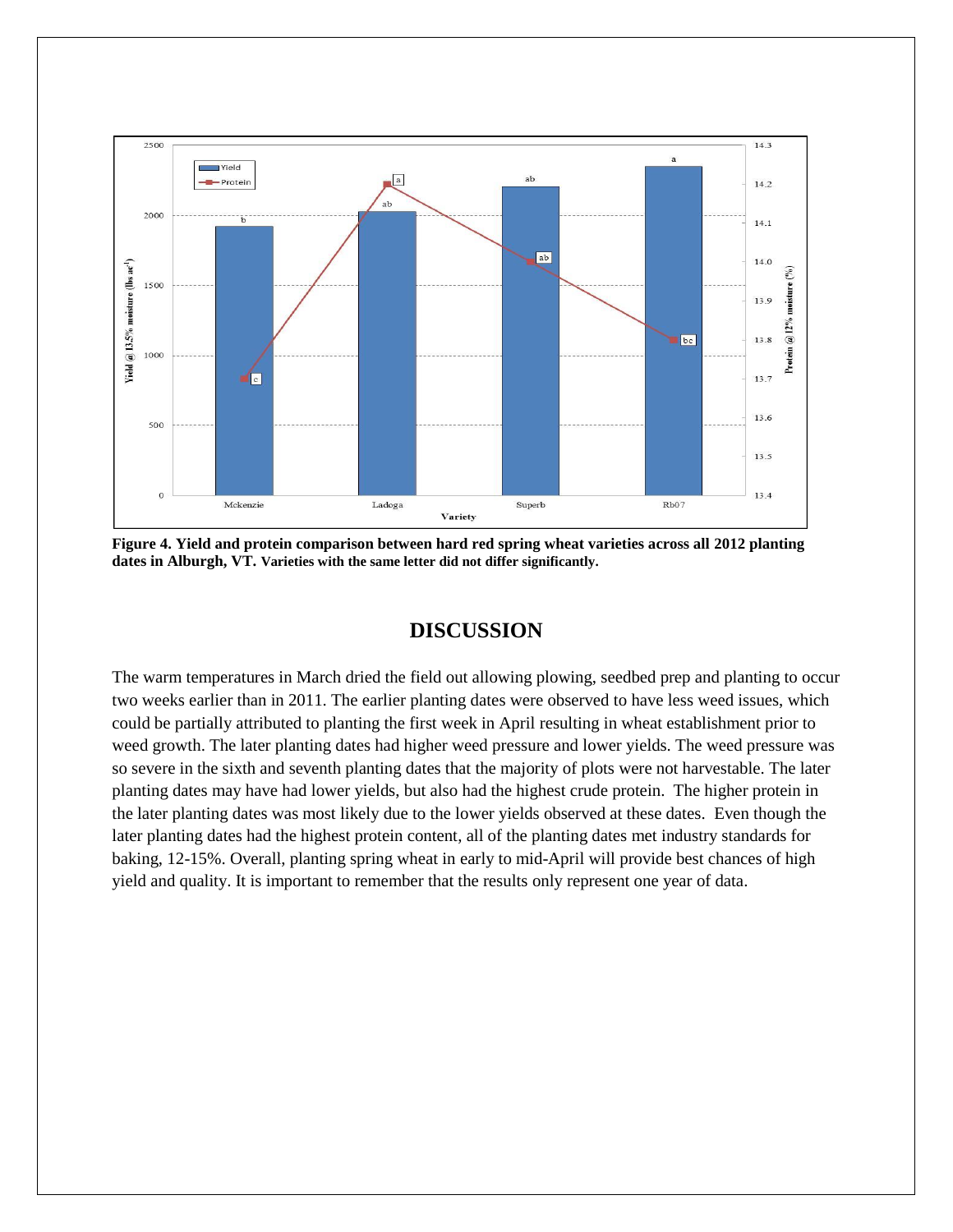

**Figure 4. Yield and protein comparison between hard red spring wheat varieties across all 2012 planting dates in Alburgh, VT. Varieties with the same letter did not differ significantly.**

## **DISCUSSION**

The warm temperatures in March dried the field out allowing plowing, seedbed prep and planting to occur two weeks earlier than in 2011. The earlier planting dates were observed to have less weed issues, which could be partially attributed to planting the first week in April resulting in wheat establishment prior to weed growth. The later planting dates had higher weed pressure and lower yields. The weed pressure was so severe in the sixth and seventh planting dates that the majority of plots were not harvestable. The later planting dates may have had lower yields, but also had the highest crude protein. The higher protein in the later planting dates was most likely due to the lower yields observed at these dates. Even though the later planting dates had the highest protein content, all of the planting dates met industry standards for baking, 12-15%. Overall, planting spring wheat in early to mid-April will provide best chances of high yield and quality. It is important to remember that the results only represent one year of data.